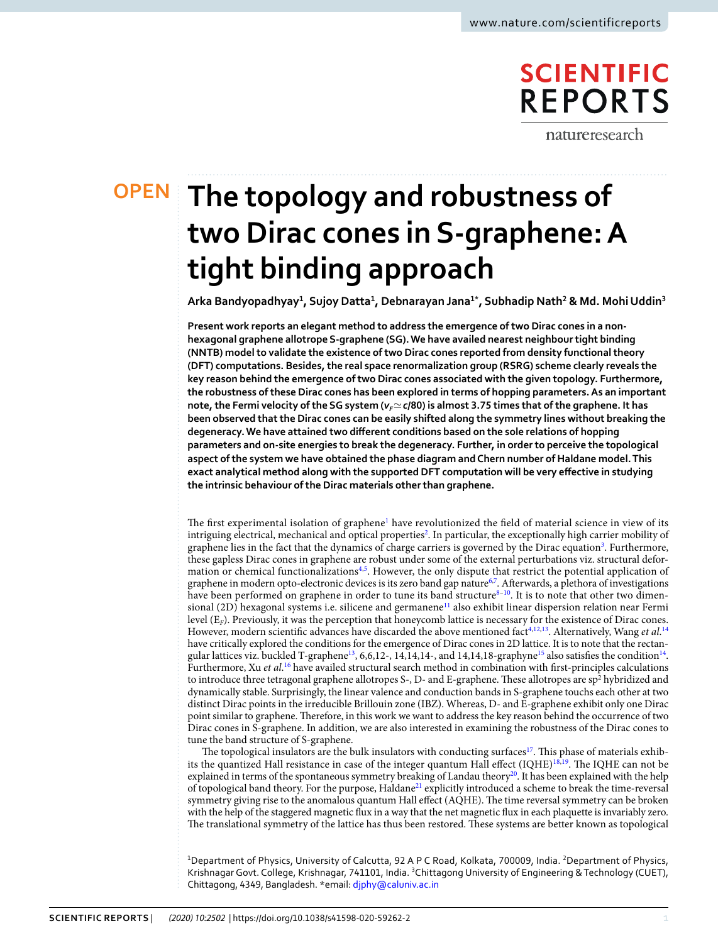# **SCIENTIFIC REPORTS**

natureresearch

# **The topology and robustness of OPENtwo Dirac cones in S-graphene: A tight binding approach**

**Arka Bandyopadhyay<sup>1</sup> , Sujoy Datta<sup>1</sup> , Debnarayan Jana1\*, Subhadip Nath<sup>2</sup> & Md. Mohi Uddin<sup>3</sup>**

**Present work reports an elegant method to address the emergence of two Dirac cones in a nonhexagonal graphene allotrope S-graphene (SG). We have availed nearest neighbour tight binding (NNTB) model to validate the existence of two Dirac cones reported from density functional theory (DFT) computations. Besides, the real space renormalization group (RSRG) scheme clearly reveals the key reason behind the emergence of two Dirac cones associated with the given topology. Furthermore, the robustness of these Dirac cones has been explored in terms of hopping parameters. As an important note, the Fermi velocity of the SG system (***vFc***/80) is almost 3.75 times that of the graphene. It has been observed that the Dirac cones can be easily shifted along the symmetry lines without breaking the degeneracy. We have attained two different conditions based on the sole relations of hopping parameters and on-site energies to break the degeneracy. Further, in order to perceive the topological aspect of the system we have obtained the phase diagram and Chern number of Haldane model. This exact analytical method along with the supported DFT computation will be very effective in studying the intrinsic behaviour of the Dirac materials other than graphene.**

The first experimental isolation of graphene<sup>[1](#page-9-0)</sup> have revolutionized the field of material science in view of its intriguing electrical, mechanical and optical properties<sup>[2](#page-9-1)</sup>. In particular, the exceptionally high carrier mobility of graphene lies in the fact that the dynamics of charge carriers is governed by the Dirac equation<sup>[3](#page-9-2)</sup>. Furthermore, these gapless Dirac cones in graphene are robust under some of the external perturbations viz. structural defor-mation or chemical functionalizations<sup>[4](#page-9-3),[5](#page-9-4)</sup>. However, the only dispute that restrict the potential application of graphene in modern opto-electronic devices is its zero band gap nature<sup>[6](#page-9-5),[7](#page-9-6)</sup>. Afterwards, a plethora of investigations have been performed on graphene in order to tune its band structure<sup>[8–](#page-9-7)[10](#page-9-8)</sup>. It is to note that other two dimen-sional (2D) hexagonal systems i.e. silicene and germanene<sup>[11](#page-9-9)</sup> also exhibit linear dispersion relation near Fermi level  $(E_F)$ . Previously, it was the perception that honeycomb lattice is necessary for the existence of Dirac cones. However, modern scientific advances have discarded the above mentioned fact<sup>[4](#page-9-3)[,12](#page-9-10)[,13](#page-9-11)</sup>. Alternatively, Wang et al.<sup>[14](#page-9-12)</sup> have critically explored the conditions for the emergence of Dirac cones in 2D lattice. It is to note that the rectan-gular lattices viz. buckled T-graphene<sup>[13](#page-9-11)</sup>, 6,6,12-, 14,14,14-, and 14,14,18-graphyne<sup>[15](#page-9-13)</sup> also satisfies the condition<sup>[14](#page-9-12)</sup>. Furthermore, Xu et al.<sup>[16](#page-9-14)</sup> have availed structural search method in combination with first-principles calculations to introduce three tetragonal graphene allotropes S-, D- and E-graphene. These allotropes are sp<sup>2</sup> hybridized and dynamically stable. Surprisingly, the linear valence and conduction bands in S-graphene touchs each other at two distinct Dirac points in the irreducible Brillouin zone (IBZ). Whereas, D- and E-graphene exhibit only one Dirac point similar to graphene. Therefore, in this work we want to address the key reason behind the occurrence of two Dirac cones in S-graphene. In addition, we are also interested in examining the robustness of the Dirac cones to tune the band structure of S-graphene.

The topological insulators are the bulk insulators with conducting surfaces<sup>[17](#page-9-15)</sup>. This phase of materials exhibits the quantized Hall resistance in case of the integer quantum Hall effect (IQHE)[18,](#page-9-16)[19](#page-9-17). The IQHE can not be explained in terms of the spontaneous symmetry breaking of Landau theory<sup>[20](#page-9-18)</sup>. It has been explained with the help of topological band theory. For the purpose, Haldane<sup>[21](#page-9-19)</sup> explicitly introduced a scheme to break the time-reversal symmetry giving rise to the anomalous quantum Hall effect (AQHE). The time reversal symmetry can be broken with the help of the staggered magnetic flux in a way that the net magnetic flux in each plaquette is invariably zero. The translational symmetry of the lattice has thus been restored. These systems are better known as topological

<sup>1</sup>Department of Physics, University of Calcutta, 92 A P C Road, Kolkata, 700009, India. <sup>2</sup>Department of Physics, Krishnagar Govt. College, Krishnagar, 741101, India. <sup>3</sup>Chittagong University of Engineering & Technology (CUET), Chittagong, 4349, Bangladesh. \*email: [djphy@caluniv.ac.in](mailto:djphy@caluniv.ac.in)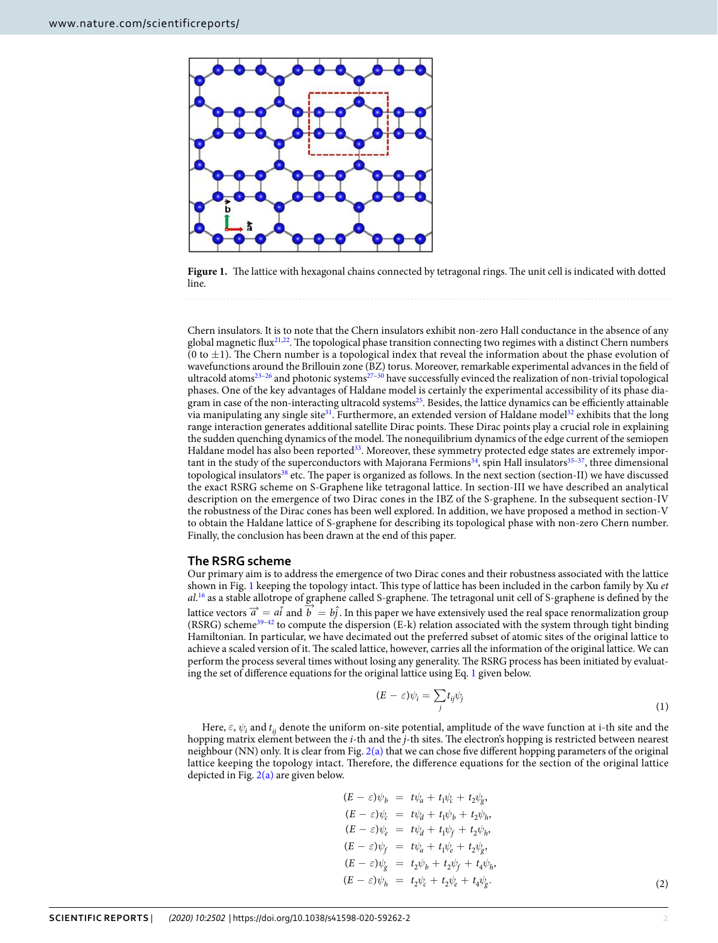

<span id="page-1-0"></span>**Figure 1.** The lattice with hexagonal chains connected by tetragonal rings. The unit cell is indicated with dotted line.

Chern insulators. It is to note that the Chern insulators exhibit non-zero Hall conductance in the absence of any global magnetic flux<sup>[21](#page-9-19),[22](#page-9-20)</sup>. The topological phase transition connecting two regimes with a distinct Chern numbers (0 to  $\pm$ 1). The Chern number is a topological index that reveal the information about the phase evolution of wavefunctions around the Brillouin zone (BZ) torus. Moreover, remarkable experimental advances in the field of ultracold atoms<sup>[23–](#page-9-21)[26](#page-9-22)</sup> and photonic systems<sup>[27](#page-9-23)[–30](#page-9-24)</sup> have successfully evinced the realization of non-trivial topological phases. One of the key advantages of Haldane model is certainly the experimental accessibility of its phase dia-gram in case of the non-interacting ultracold systems<sup>[25](#page-9-25)</sup>. Besides, the lattice dynamics can be efficiently attainable via manipulating any single site<sup>[31](#page-9-26)</sup>. Furthermore, an extended version of Haldane model<sup>[32](#page-9-27)</sup> exhibits that the long range interaction generates additional satellite Dirac points. These Dirac points play a crucial role in explaining the sudden quenching dynamics of the model. The nonequilibrium dynamics of the edge current of the semiopen Haldane model has also been reported<sup>[33](#page-9-28)</sup>. Moreover, these symmetry protected edge states are extremely impor-tant in the study of the superconductors with Majorana Fermions<sup>[34](#page-9-29)</sup>, spin Hall insulators<sup>[35](#page-9-30)[–37](#page-10-0)</sup>, three dimensional topological insulators<sup>[38](#page-10-1)</sup> etc. The paper is organized as follows. In the next section (section-II) we have discussed the exact RSRG scheme on S-Graphene like tetragonal lattice. In section-III we have described an analytical description on the emergence of two Dirac cones in the IBZ of the S-graphene. In the subsequent section-IV the robustness of the Dirac cones has been well explored. In addition, we have proposed a method in section-V to obtain the Haldane lattice of S-graphene for describing its topological phase with non-zero Chern number. Finally, the conclusion has been drawn at the end of this paper.

#### **The RSRG scheme**

Our primary aim is to address the emergence of two Dirac cones and their robustness associated with the lattice shown in Fig. [1](#page-1-0) keeping the topology intact. This type of lattice has been included in the carbon family by Xu et al.<sup>[16](#page-9-14)</sup> as a stable allotrope of graphene called S-graphene. The tetragonal unit cell of S-graphene is defined by the lattice vectors  $\vec{a} = a\hat{i}$  and  $\vec{b} = b\hat{j}$ . In this paper we have extensively used the real space renormalization group (RSRG) scheme[39–](#page-10-2)[42](#page-10-3) to compute the dispersion (E-k) relation associated with the system through tight binding Hamiltonian. In particular, we have decimated out the preferred subset of atomic sites of the original lattice to achieve a scaled version of it. The scaled lattice, however, carries all the information of the original lattice. We can perform the process several times without losing any generality. The RSRG process has been initiated by evaluating the set of difference equations for the original lattice using Eq. [1](#page-1-1) given below.

$$
(E - \varepsilon)\psi_i = \sum_j t_{ij}\psi_j \tag{1}
$$

<span id="page-1-1"></span>Here,  $\varepsilon$ ,  $\psi_i$  and  $t_{ij}$  denote the uniform on-site potential, amplitude of the wave function at i-th site and the hopping matrix element between the i-th and the j-th sites. The electron's hopping is restricted between nearest neighbour (NN) only. It is clear from Fig.  $2(a)$  that we can chose five different hopping parameters of the original lattice keeping the topology intact. Therefore, the difference equations for the section of the original lattice depicted in Fig.  $2(a)$  are given below.

$$
(E - \varepsilon)\psi_b = t\psi_a + t_1\psi_c + t_2\psi_g,
$$
  
\n
$$
(E - \varepsilon)\psi_c = t\psi_a + t_1\psi_b + t_2\psi_h,
$$
  
\n
$$
(E - \varepsilon)\psi_e = t\psi_a + t_1\psi_f + t_2\psi_h,
$$
  
\n
$$
(E - \varepsilon)\psi_f = t\psi_a + t_1\psi_e + t_2\psi_g,
$$
  
\n
$$
(E - \varepsilon)\psi_g = t_2\psi_b + t_2\psi_f + t_4\psi_h,
$$
  
\n
$$
(E - \varepsilon)\psi_h = t_2\psi_c + t_2\psi_e + t_4\psi_g.
$$
 (2)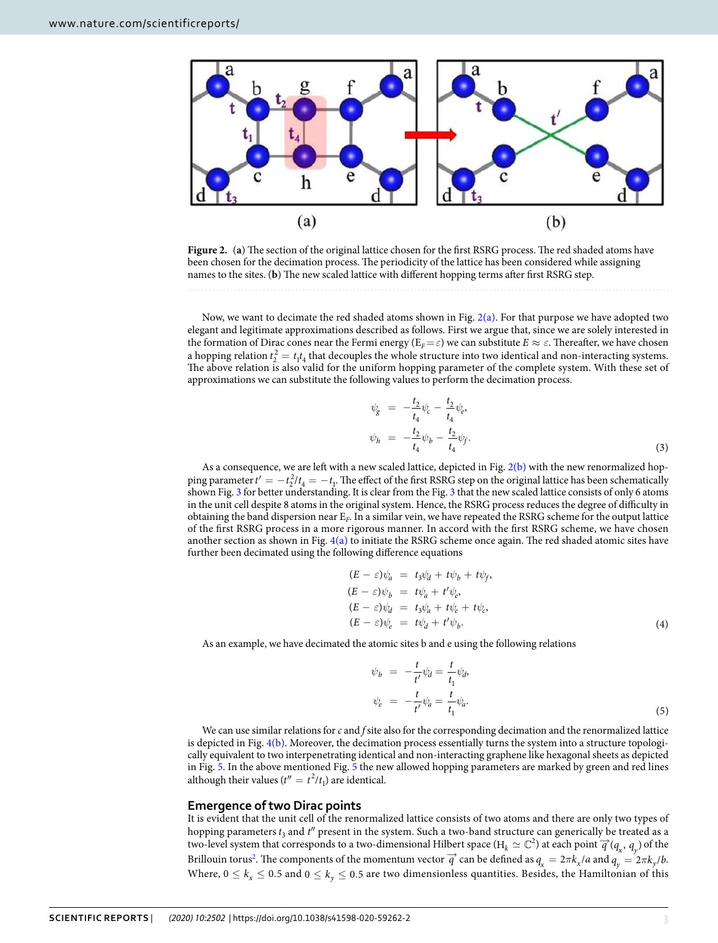

<span id="page-2-0"></span>**Figure 2.** (**a**) The section of the original lattice chosen for the first RSRG process. The red shaded atoms have been chosen for the decimation process. The periodicity of the lattice has been considered while assigning names to the sites. (**b**) The new scaled lattice with different hopping terms after first RSRG step.

Now, we want to decimate the red shaded atoms shown in Fig.  $2(a)$ . For that purpose we have adopted two elegant and legitimate approximations described as follows. First we argue that, since we are solely interested in the formation of Dirac cones near the Fermi energy ( $E_F = \varepsilon$ ) we can substitute  $E \approx \varepsilon$ . Thereafter, we have chosen a hopping relation  $t_2^2 = t_1 t_4$  that decouples the whole structure into two identical and non-interacting systems. The above relation is also valid for the uniform hopping parameter of the complete system. With these set of approximations we can substitute the following values to perform the decimation process.

$$
\psi_{g} = -\frac{t_{2}}{t_{4}}\psi_{c} - \frac{t_{2}}{t_{4}}\psi_{e}, \n\psi_{h} = -\frac{t_{2}}{t_{4}}\psi_{b} - \frac{t_{2}}{t_{4}}\psi_{f}.
$$
\n(3)

As a consequence, we are left with a new scaled lattice, depicted in Fig. [2\(b\)](#page-2-0) with the new renormalized hopping parameter  $t' = -t_2^2/t_4 = -t_1$ . The effect of the first RSRG step on the original lattice has been schematically shown Fig. [3](#page-3-0) for better understanding. It is clear from the Fig. [3](#page-3-0) that the new scaled lattice consists of only 6 atoms in the unit cell despite 8 atoms in the original system. Hence, the RSRG process reduces the degree of difficulty in obtaining the band dispersion near  $E_F$ . In a similar vein, we have repeated the RSRG scheme for the output lattice of the first RSRG process in a more rigorous manner. In accord with the first RSRG scheme, we have chosen another section as shown in Fig.  $4(a)$  to initiate the RSRG scheme once again. The red shaded atomic sites have further been decimated using the following difference equations

$$
(E - \varepsilon)\psi_a = t_3\psi_a + t\psi_b + t\psi_f,
$$
  
\n
$$
(E - \varepsilon)\psi_b = t\psi_a + t'\psi_e,
$$
  
\n
$$
(E - \varepsilon)\psi_d = t_3\psi_a + t\psi_e + t\psi_c,
$$
  
\n
$$
(E - \varepsilon)\psi_e = t\psi_a + t'\psi_b.
$$
\n(4)

As an example, we have decimated the atomic sites b and e using the following relations

$$
\psi_b = -\frac{t}{t'} \psi_d = \frac{t}{t_1} \psi_d,
$$
  

$$
\psi_e = -\frac{t}{t'} \psi_a = \frac{t}{t_1} \psi_a.
$$
 (5)

We can use similar relations for c and f site also for the corresponding decimation and the renormalized lattice is depicted in Fig. [4\(b\)](#page-3-1). Moreover, the decimation process essentially turns the system into a structure topologically equivalent to two interpenetrating identical and non-interacting graphene like hexagonal sheets as depicted in Fig. [5.](#page-4-0) In the above mentioned Fig. [5](#page-4-0) the new allowed hopping parameters are marked by green and red lines although their values ( $t'' = t^2/t_1$ ) are identical.

#### **Emergence of two Dirac points**

It is evident that the unit cell of the renormalized lattice consists of two atoms and there are only two types of hopping parameters  $t_3$  and  $t''$  present in the system. Such a two-band structure can generically be treated as a two-level system that corresponds to a two-dimensional Hilbert space ( $H_k \simeq \mathbb{C}^2$ ) at each point  $\vec{q}(q_x, q_y)$  of the Brillouin torus<sup>[2](#page-9-1)</sup>. The components of the momentum vector  $\vec{q}$  can be defined as  $q_x = 2\pi k_x/a$  and  $q_y = 2\pi k_y/b$ . Where,  $0\leq k_{\rm x}\leq 0.5$  and  $0\leq k_{\rm y}\leq 0.5$  are two dimensionless quantities. Besides, the Hamiltonian of this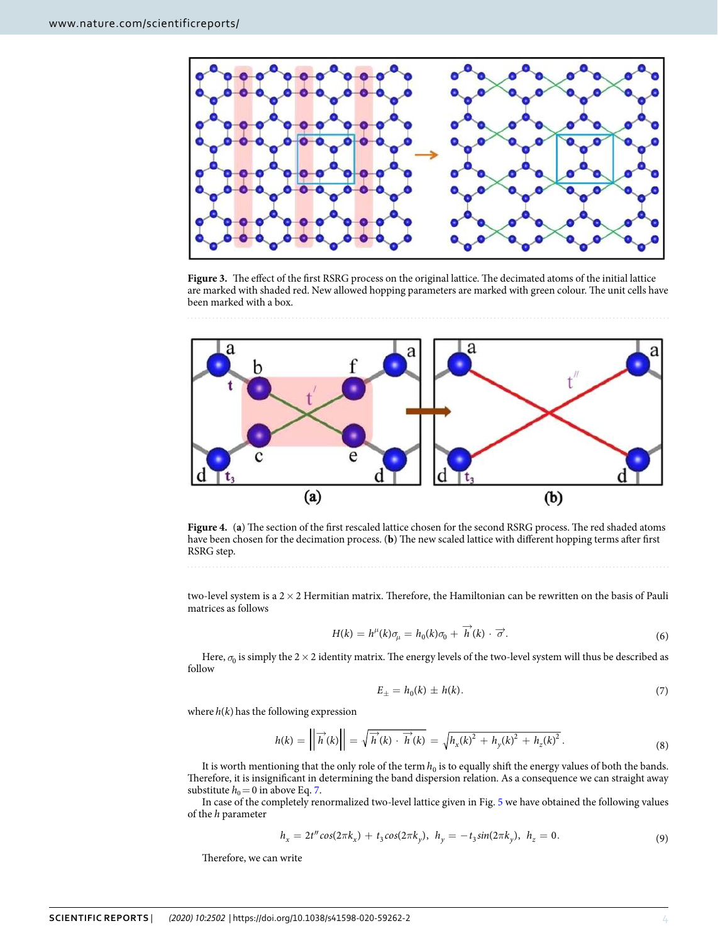

<span id="page-3-0"></span>**Figure 3.** The effect of the first RSRG process on the original lattice. The decimated atoms of the initial lattice are marked with shaded red. New allowed hopping parameters are marked with green colour. The unit cells have been marked with a box.



<span id="page-3-1"></span>**Figure 4.** (**a**) The section of the first rescaled lattice chosen for the second RSRG process. The red shaded atoms have been chosen for the decimation process. (**b**) The new scaled lattice with different hopping terms after first RSRG step.

two-level system is a  $2 \times 2$  Hermitian matrix. Therefore, the Hamiltonian can be rewritten on the basis of Pauli matrices as follows

$$
H(k) = h^{\mu}(k)\sigma_{\mu} = h_0(k)\sigma_0 + \overrightarrow{h}(k) \cdot \overrightarrow{\sigma}.
$$
 (6)

<span id="page-3-3"></span>Here,  $\sigma_0$  is simply the 2  $\times$  2 identity matrix. The energy levels of the two-level system will thus be described as follow

$$
E_{\pm} = h_0(k) \pm h(k). \tag{7}
$$

<span id="page-3-2"></span>where  $h(k)$  has the following expression

$$
h(k) = \left| \left| \overrightarrow{h}(k) \right| \right| = \sqrt{\overrightarrow{h}(k) \cdot \overrightarrow{h}(k)} = \sqrt{h_x(k)^2 + h_y(k)^2 + h_z(k)^2}.
$$
 (8)

It is worth mentioning that the only role of the term  $h_0$  is to equally shift the energy values of both the bands. Therefore, it is insignificant in determining the band dispersion relation. As a consequence we can straight away substitute  $h_0 = 0$  in above Eq. [7.](#page-3-2)

In case of the completely renormalized two-level lattice given in Fig. [5](#page-4-0) we have obtained the following values of the h parameter

$$
h_x = 2t''\cos(2\pi k_x) + t_3\cos(2\pi k_y), \quad h_y = -t_3\sin(2\pi k_y), \quad h_z = 0. \tag{9}
$$

Therefore, we can write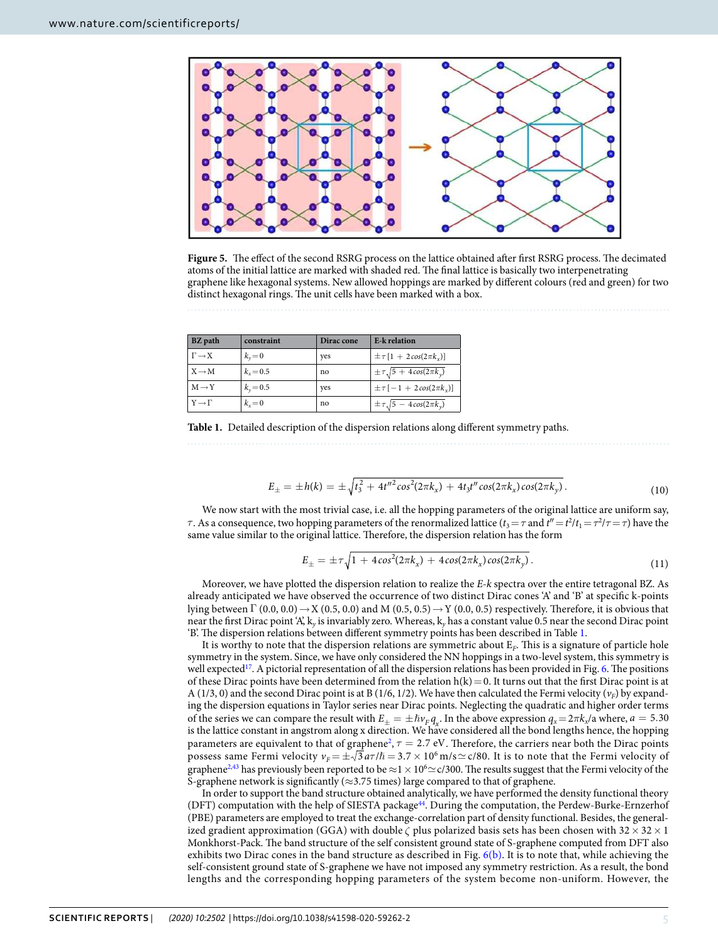

<span id="page-4-0"></span>**Figure 5.** The effect of the second RSRG process on the lattice obtained after first RSRG process. The decimated atoms of the initial lattice are marked with shaded red. The final lattice is basically two interpenetrating graphene like hexagonal systems. New allowed hoppings are marked by different colours (red and green) for two distinct hexagonal rings. The unit cells have been marked with a box.

<span id="page-4-1"></span>

| <b>BZ</b> path         | constraint    | Dirac cone | <b>E-k</b> relation                                         |
|------------------------|---------------|------------|-------------------------------------------------------------|
| $\Gamma \rightarrow X$ | $k_v = 0$     | yes        | $\pm \tau [1 + 2 \cos(2 \pi k_x)]$                          |
| $X \rightarrow M$      | $k_{r} = 0.5$ | no         | $\pm \tau$ <sub>1</sub> /5 + 4 cos(2 $\pi k$ <sub>v</sub> ) |
| $M \rightarrow Y$      | $k_v = 0.5$   | yes        | $\pm \tau [-1 + 2 cos(2 \pi k_{r})]$                        |
| $Y \rightarrow \Gamma$ | $k_{r} = 0$   | no         | $\pm \tau$ <sub>1</sub> 5 - 4 cos(2 $\pi k$ <sub>v</sub> )  |

**Table 1.** Detailed description of the dispersion relations along different symmetry paths.

$$
E_{\pm} = \pm h(k) = \pm \sqrt{t_3^2 + 4t''^2 \cos^2(2\pi k_x) + 4t_3t'' \cos(2\pi k_x) \cos(2\pi k_y)}.
$$
\n(10)

<span id="page-4-2"></span>We now start with the most trivial case, i.e. all the hopping parameters of the original lattice are uniform say, *τ*. As a consequence, two hopping parameters of the renormalized lattice  $(t_3 = \tau$  and  $t'' = t^2/t_1 = \tau^2/\tau = \tau$ ) have the same value similar to the original lattice. Therefore, the dispersion relation has the form

$$
E_{\pm} = \pm \tau \sqrt{1 + 4\cos^2(2\pi k_x) + 4\cos(2\pi k_x)\cos(2\pi k_y)}\,. \tag{11}
$$

Moreover, we have plotted the dispersion relation to realize the E-k spectra over the entire tetragonal BZ. As already anticipated we have observed the occurrence of two distinct Dirac cones 'A' and 'B' at specific k-points lying between  $\Gamma$  (0.0, 0.0)  $\rightarrow$  X (0.5, 0.0) and M (0.5, 0.5)  $\rightarrow$  Y (0.0, 0.5) respectively. Therefore, it is obvious that near the first Dirac point 'A',  $k_y$  is invariably zero. Whereas,  $k_y$  has a constant value 0.5 near the second Dirac point 'B'. The dispersion relations between different symmetry points has been described in Table [1](#page-4-1).

It is worthy to note that the dispersion relations are symmetric about  $E_F$ . This is a signature of particle hole symmetry in the system. Since, we have only considered the NN hoppings in a two-level system, this symmetry is well expected<sup>[17](#page-9-15)</sup>. A pictorial representation of all the dispersion relations has been provided in Fig. [6](#page-5-0). The positions of these Dirac points have been determined from the relation  $h(k) = 0$ . It turns out that the first Dirac point is at A (1/3, 0) and the second Dirac point is at B (1/6, 1/2). We have then calculated the Fermi velocity ( $v_F$ ) by expanding the dispersion equations in Taylor series near Dirac points. Neglecting the quadratic and higher order terms of the series we can compare the result with  $E_{\pm} = \pm \hbar v_{F} q_{x}$ . In the above expression  $q_{x} = 2\pi k_{x}/a$  where,  $a = 5.30$ is the lattice constant in angstrom along x direction. We have considered all the bond lengths hence, the hopping parameters are equivalent to that of graphene<sup>[2](#page-9-1)</sup>,  $\tau = 2.7$  eV. Therefore, the carriers near both the Dirac points possess same Fermi velocity  $v_F = \pm \sqrt{3} a \tau/\hbar = 3.7 \times 10^6 \text{ m/s} \approx \text{c/80}$ . It is to note that the Fermi velocity of graphene<sup>[2](#page-9-1),[43](#page-10-4)</sup> has previously been reported to be  $\approx 1 \times 10^6 \approx c/300$ . The results suggest that the Fermi velocity of the S-graphene network is significantly ( $\approx$ 3.75 times) large compared to that of graphene.

In order to support the band structure obtained analytically, we have performed the density functional theory (DFT) computation with the help of SIESTA package<sup>[44](#page-10-5)</sup>. During the computation, the Perdew-Burke-Ernzerhof (PBE) parameters are employed to treat the exchange-correlation part of density functional. Besides, the generalized gradient approximation (GGA) with double  $\zeta$  plus polarized basis sets has been chosen with  $32 \times 32 \times 1$ Monkhorst-Pack. The band structure of the self consistent ground state of S-graphene computed from DFT also exhibits two Dirac cones in the band structure as described in Fig. [6\(b\)](#page-5-0). It is to note that, while achieving the self-consistent ground state of S-graphene we have not imposed any symmetry restriction. As a result, the bond lengths and the corresponding hopping parameters of the system become non-uniform. However, the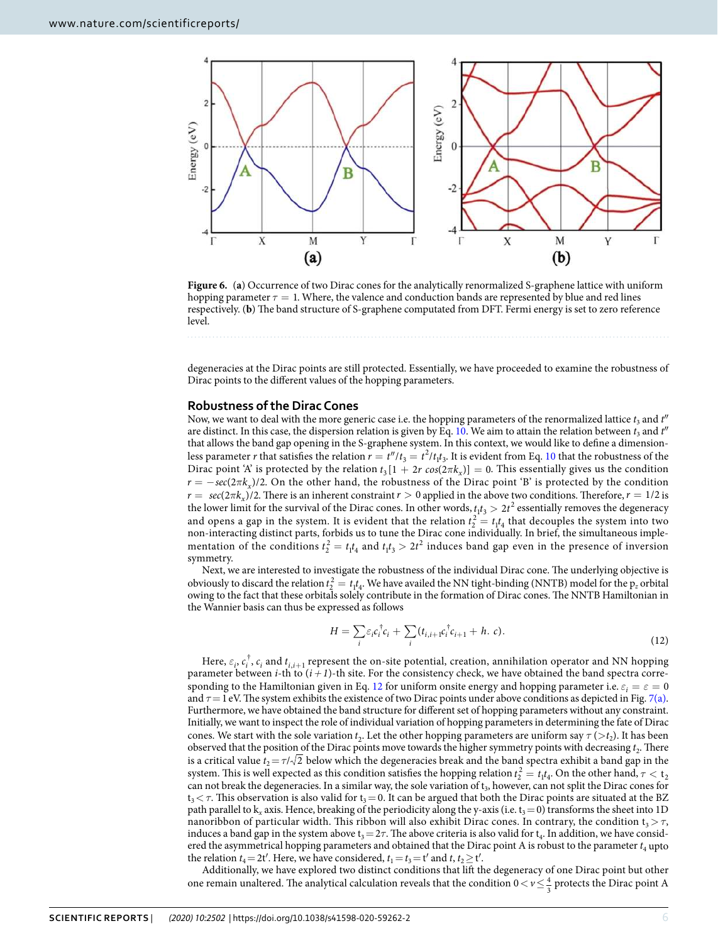

<span id="page-5-0"></span>**Figure 6.** (**a**) Occurrence of two Dirac cones for the analytically renormalized S-graphene lattice with uniform hopping parameter  $\tau = 1$ . Where, the valence and conduction bands are represented by blue and red lines respectively. (**b**) The band structure of S-graphene computated from DFT. Fermi energy is set to zero reference level.

degeneracies at the Dirac points are still protected. Essentially, we have proceeded to examine the robustness of Dirac points to the different values of the hopping parameters.

#### **Robustness of the Dirac Cones**

Now, we want to deal with the more generic case i.e. the hopping parameters of the renormalized lattice  $t_3$  and  $t''$ are distinct. In this case, the dispersion relation is given by Eq. [10](#page-4-2). We aim to attain the relation between  $t_3$  and  $t''$ that allows the band gap opening in the S-graphene system. In this context, we would like to define a dimensionless parameter *r* that satisfies the relation  $r = t''/t_3 = t^2/t_1t_3$ . It is evident from Eq. [10](#page-4-2) that the robustness of the Dirac point 'A' is protected by the relation  $t_3[1 + 2r \cos(2\pi k_x)] = 0$ . This essentially gives us the condition  $r = -sec(2\pi k_x)/2$ . On the other hand, the robustness of the Dirac point 'B' is protected by the condition  $r = \sec(2\pi k_x)/2$ . There is an inherent constraint  $r > 0$  applied in the above two conditions. Therefore,  $r = 1/2$  is the lower limit for the survival of the Dirac cones. In other words,  $t_1t_3 > 2t^2$  essentially removes the degeneracy and opens a gap in the system. It is evident that the relation  $t_2^2 = t_1 t_4$  that decouples the system into two non-interacting distinct parts, forbids us to tune the Dirac cone individually. In brief, the simultaneous implementation of the conditions  $t_2^2 = t_1 t_4$  and  $t_1 t_3 > 2t^2$  induces band gap even in the presence of inversion symmetry.

Next, we are interested to investigate the robustness of the individual Dirac cone. The underlying objective is obviously to discard the relation  $t_2^2 = t_1 t_4$ . We have availed the NN tight-binding (NNTB) model for the  $p_z$  orbital owing to the fact that these orbitals solely contribute in the formation of Dirac cones. The NNTB Hamiltonian in the Wannier basis can thus be expressed as follows

$$
H = \sum_{i} \varepsilon_i c_i^{\dagger} c_i + \sum_{i} (t_{i,i+1} c_i^{\dagger} c_{i+1} + h. c).
$$
\n(12)

<span id="page-5-1"></span>Here,  $\varepsilon_i$ ,  $c_i^{\dagger}$ ,  $c_i$  and  $t_{i,i+1}$  represent the on-site potential, creation, annihilation operator and NN hopping parameter between *i*-th to  $(i + 1)$ -th site. For the consistency check, we have obtained the band spectra corre-sponding to the Hamiltonian given in Eq. [12](#page-5-1) for uniform onsite energy and hopping parameter i.e.  $\varepsilon_i = \varepsilon = 0$ and *τ* = 1 eV. The system exhibits the existence of two Dirac points under above conditions as depicted in Fig. [7\(a\).](#page-6-0) Furthermore, we have obtained the band structure for different set of hopping parameters without any constraint. Initially, we want to inspect the role of individual variation of hopping parameters in determining the fate of Dirac cones. We start with the sole variation  $t_2$ . Let the other hopping parameters are uniform say  $\tau(\gt t_2)$ . It has been observed that the position of the Dirac points move towards the higher symmetry points with decreasing  $t_2$ . There is a critical value  $t_2 = \tau/\sqrt{2}$  below which the degeneracies break and the band spectra exhibit a band gap in the system. This is well expected as this condition satisfies the hopping relation  $t_2^2 = t_1t_4$ . On the other hand,  $\tau < t_2$ can not break the degeneracies. In a similar way, the sole variation of  $t_3$ , however, can not split the Dirac cones for  $t_3 < \tau$ . This observation is also valid for  $t_3 = 0$ . It can be argued that both the Dirac points are situated at the BZ path parallel to  $k_x$  axis. Hence, breaking of the periodicity along the y-axis (i.e.  $t_3 = 0$ ) transforms the sheet into 1D nanoribbon of particular width. This ribbon will also exhibit Dirac cones. In contrary, the condition  $t_3 > \tau$ , induces a band gap in the system above  $t_3 = 2\tau$ . The above criteria is also valid for  $t_4$ . In addition, we have considered the asymmetrical hopping parameters and obtained that the Dirac point A is robust to the parameter  $t_4$  upto the relation  $t_4 = 2t'$ . Here, we have considered,  $t_1 = t_3 = t'$  and  $t, t_2 \ge t'$ .

Additionally, we have explored two distinct conditions that lift the degeneracy of one Dirac point but other one remain unaltered. The analytical calculation reveals that the condition  $0 < v \leq \frac{4}{3}$  protects the Dirac point A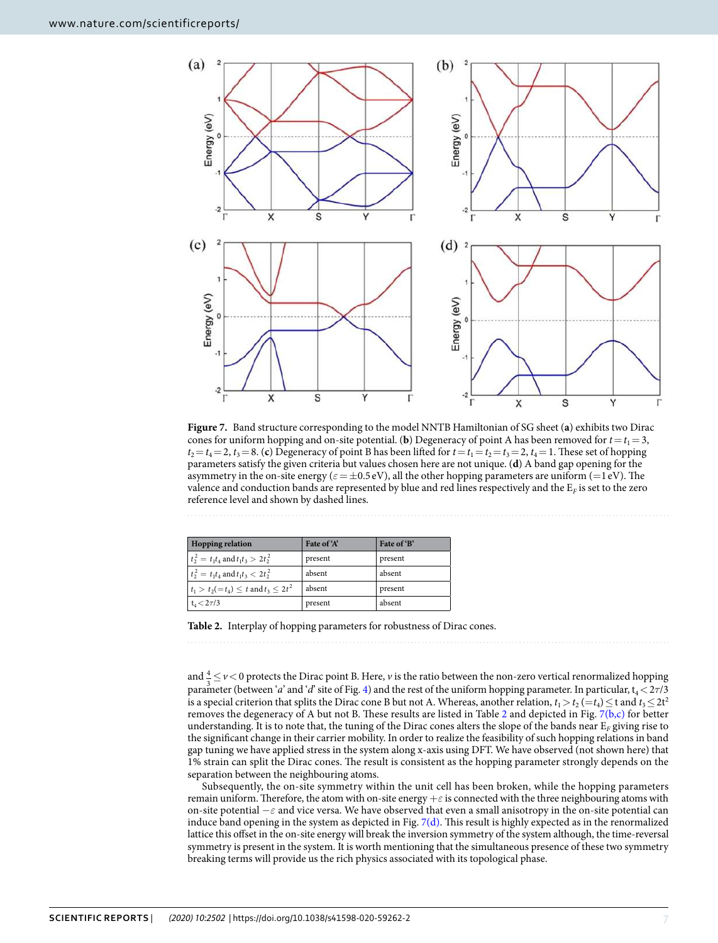

<span id="page-6-0"></span>**Figure 7.** Band structure corresponding to the model NNTB Hamiltonian of SG sheet (**a**) exhibits two Dirac cones for uniform hopping and on-site potential. (**b**) Degeneracy of point A has been removed for  $t=t_1=3$ ,  $t_2=t_4=2$ ,  $t_3=8$ . (c) Degeneracy of point B has been lifted for  $t=t_1=t_2=t_3=2$ ,  $t_4=1$ . These set of hopping parameters satisfy the given criteria but values chosen here are not unique. (**d**) A band gap opening for the asymmetry in the on-site energy ( $\varepsilon = \pm 0.5 \text{ eV}$ ), all the other hopping parameters are uniform ( $=1 \text{ eV}$ ). The valence and conduction bands are represented by blue and red lines respectively and the  $\mathrm{E}_F$  is set to the zero reference level and shown by dashed lines.

<span id="page-6-1"></span>

| <b>Hopping relation</b>                        | Fate of 'A' | Fate of 'B' |
|------------------------------------------------|-------------|-------------|
| $t_2^2 = t_1 t_4$ and $t_1 t_3 > 2 t_2^2$      | present     | present     |
| $t_2^2 = t_1 t_4$ and $t_1 t_3 < 2t_2^2$       | absent      | absent      |
| $t_1 > t_2 (= t_4) \leq t$ and $t_3 \leq 2t^2$ | absent      | present     |
| $t_{4}$ < 2 $\tau$ /3                          | present     | absent      |

**Table 2.** Interplay of hopping parameters for robustness of Dirac cones.

and  $\frac{4}{3} \le v < 0$  protects the Dirac point B. Here, v is the ratio between the non-zero vertical renormalized hopping parameter (between 'a' and 'd' site of Fig. [4](#page-3-1)) and the rest of the uniform hopping parameter. In particular, t<sub>4</sub> < 2*τ*/3 is a special criterion that splits the Dirac cone B but not A. Whereas, another relation,  $t_1 > t_2$  (= $t_4$ ) $\leq$ t and  $t_3$  $\leq$ 2t<sup>2</sup> removes the degeneracy of A but not B. These results are listed in Table [2](#page-6-1) and depicted in Fig. [7\(b,c\)](#page-6-0) for better understanding. It is to note that, the tuning of the Dirac cones alters the slope of the bands near  $E_F$  giving rise to the significant change in their carrier mobility. In order to realize the feasibility of such hopping relations in band gap tuning we have applied stress in the system along x-axis using DFT. We have observed (not shown here) that 1% strain can split the Dirac cones. The result is consistent as the hopping parameter strongly depends on the separation between the neighbouring atoms.

Subsequently, the on-site symmetry within the unit cell has been broken, while the hopping parameters remain uniform. Therefore, the atom with on-site energy +*ε* is connected with the three neighbouring atoms with on-site potential −*ε* and vice versa. We have observed that even a small anisotropy in the on-site potential can induce band opening in the system as depicted in Fig.  $7(d)$ . This result is highly expected as in the renormalized lattice this offset in the on-site energy will break the inversion symmetry of the system although, the time-reversal symmetry is present in the system. It is worth mentioning that the simultaneous presence of these two symmetry breaking terms will provide us the rich physics associated with its topological phase.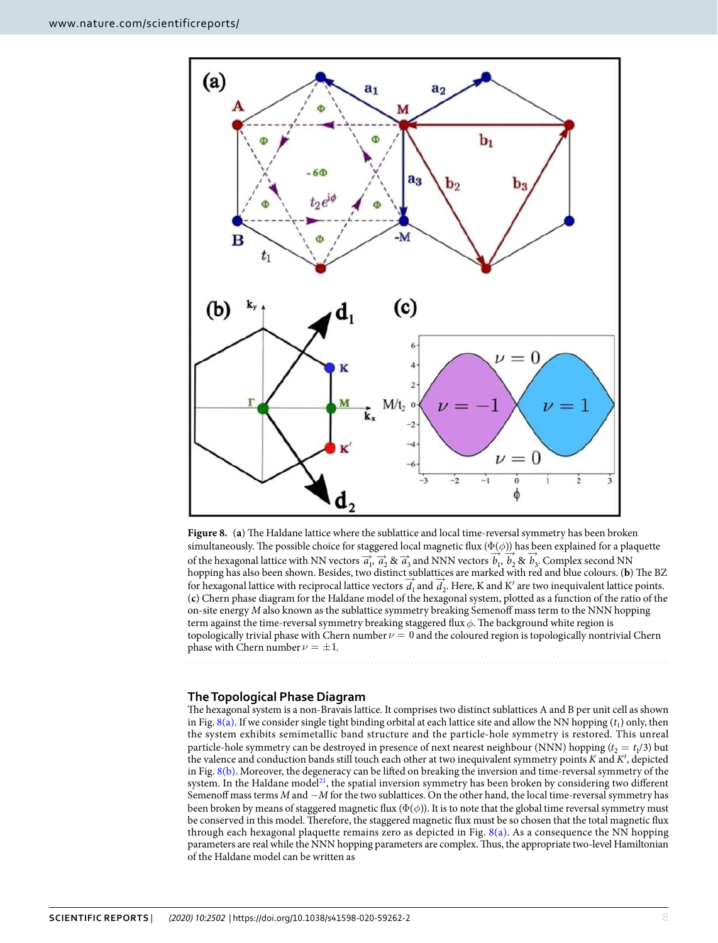

<span id="page-7-0"></span>**Figure 8.** (**a**) The Haldane lattice where the sublattice and local time-reversal symmetry has been broken simultaneously. The possible choice for staggered local magnetic flux ( $\Phi(\phi)$ ) has been explained for a plaquette of the hexagonal lattice with NN vectors  $\vec{a}_1$ ,  $\vec{a}_2$  &  $\vec{a}_3$  and NNN vectors  $\vec{b}_1$ ,  $\vec{b}_2$  &  $\vec{b}_3$ . Complex second NN hopping has also been shown. Besides, two distinct sublattices are marked with red and blue colours. (**b**) The BZ hopping has also been shown. Besides, two distinct subadilities are marked with red and bite colours. (b) The BZ for hexagonal lattice with reciprocal lattice vectors  $\overrightarrow{d_1}$  and  $\overrightarrow{d_2}$ . Here, K and K' are two ineq (**c**) Chern phase diagram for the Haldane model of the hexagonal system, plotted as a function of the ratio of the on-site energy M also known as the sublattice symmetry breaking Semenoff mass term to the NNN hopping term against the time-reversal symmetry breaking staggered flux *φ*. The background white region is topologically trivial phase with Chern number *ν* = 0 and the coloured region is topologically nontrivial Chern phase with Chern number  $\nu = \pm 1$ .

# **The Topological Phase Diagram**

The hexagonal system is a non-Bravais lattice. It comprises two distinct sublattices A and B per unit cell as shown in Fig. [8\(a\)](#page-7-0). If we consider single tight binding orbital at each lattice site and allow the NN hopping  $(t_1)$  only, then the system exhibits semimetallic band structure and the particle-hole symmetry is restored. This unreal particle-hole symmetry can be destroyed in presence of next nearest neighbour (NNN) hopping  $(t_2 = t_1/3)$  but the valence and conduction bands still touch each other at two inequivalent symmetry points  $K$  and  $K'$ , depicted in Fig. [8\(b\)](#page-7-0). Moreover, the degeneracy can be lifted on breaking the inversion and time-reversal symmetry of the system. In the Haldane model<sup>[21](#page-9-19)</sup>, the spatial inversion symmetry has been broken by considering two different Semenoff mass terms M and −M for the two sublattices. On the other hand, the local time-reversal symmetry has been broken by means of staggered magnetic flux (Φ( $\phi$ )). It is to note that the global time reversal symmetry must be conserved in this model. Therefore, the staggered magnetic flux must be so chosen that the total magnetic flux through each hexagonal plaquette remains zero as depicted in Fig. [8\(a\).](#page-7-0) As a consequence the NN hopping parameters are real while the NNN hopping parameters are complex. Thus, the appropriate two-level Hamiltonian of the Haldane model can be written as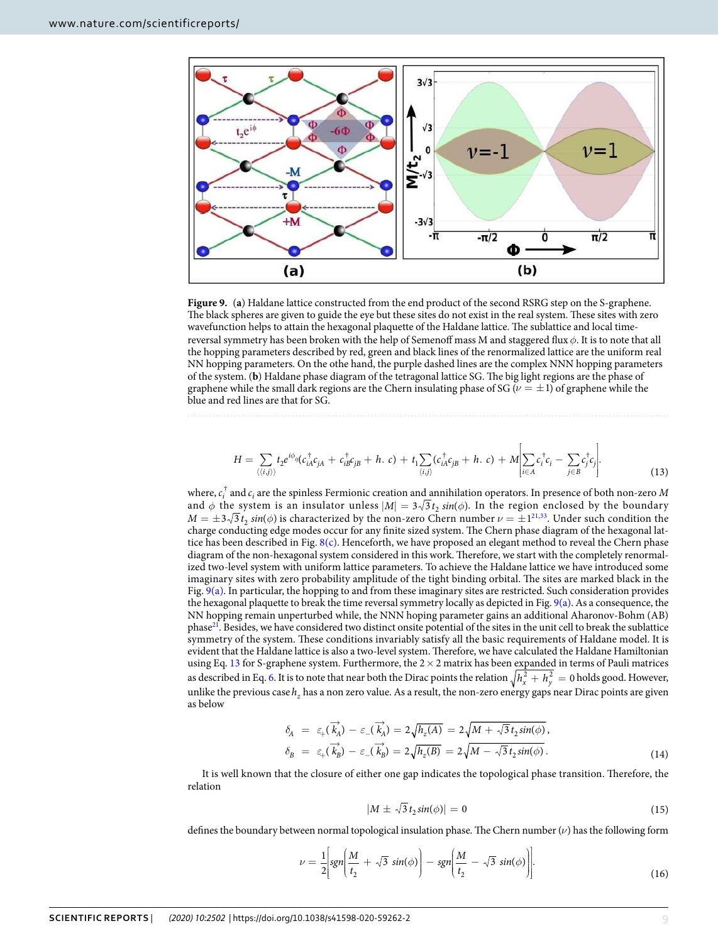

<span id="page-8-0"></span>**Figure 9.** (**a**) Haldane lattice constructed from the end product of the second RSRG step on the S-graphene. The black spheres are given to guide the eye but these sites do not exist in the real system. These sites with zero wavefunction helps to attain the hexagonal plaquette of the Haldane lattice. The sublattice and local timereversal symmetry has been broken with the help of Semenoff mass M and staggered flux *φ*. It is to note that all the hopping parameters described by red, green and black lines of the renormalized lattice are the uniform real NN hopping parameters. On the othe hand, the purple dashed lines are the complex NNN hopping parameters of the system. (**b**) Haldane phase diagram of the tetragonal lattice SG. The big light regions are the phase of graphene while the small dark regions are the Chern insulating phase of SG ( $\nu = \pm 1$ ) of graphene while the blue and red lines are that for SG.

$$
H = \sum_{\langle\langle i,j\rangle\rangle} t_2 e^{i\phi_{ij}} (c_{iA}^\dagger c_{jA} + c_{iB}^\dagger c_{jB} + h.c) + t_1 \sum_{\langle i,j\rangle} (c_{iA}^\dagger c_{jB} + h.c) + M \left| \sum_{i\in A} c_i^\dagger c_i - \sum_{j\in B} c_j^\dagger c_j \right|.
$$
 (13)

<span id="page-8-1"></span>where,  $c_i^{\dagger}$  and  $c_i$  are the spinless Fermionic creation and annihilation operators. In presence of both non-zero M and  $\phi$  the system is an insulator unless  $|M| = 3\sqrt{3}t_2 \sin(\phi)$ . In the region enclosed by the boundary  $M = \pm 3\sqrt{3} t_2 \sin(\phi)$  is characterized by the non-zero Chern number  $\nu = \pm 1^{21,33}$  $\nu = \pm 1^{21,33}$  $\nu = \pm 1^{21,33}$  $\nu = \pm 1^{21,33}$ . Under such condition the charge conducting edge modes occur for any finite sized system. The Chern phase diagram of the hexagonal lat-tice has been described in Fig. [8\(c\).](#page-7-0) Henceforth, we have proposed an elegant method to reveal the Chern phase diagram of the non-hexagonal system considered in this work. Therefore, we start with the completely renormalized two-level system with uniform lattice parameters. To achieve the Haldane lattice we have introduced some imaginary sites with zero probability amplitude of the tight binding orbital. The sites are marked black in the Fig. [9\(a\)](#page-8-0). In particular, the hopping to and from these imaginary sites are restricted. Such consideration provides the hexagonal plaquette to break the time reversal symmetry locally as depicted in Fig. [9\(a\).](#page-8-0) As a consequence, the NN hopping remain unperturbed while, the NNN hoping parameter gains an additional Aharonov-Bohm (AB)  $phase<sup>21</sup>$  $phase<sup>21</sup>$  $phase<sup>21</sup>$ . Besides, we have considered two distinct onsite potential of the sites in the unit cell to break the sublattice symmetry of the system. These conditions invariably satisfy all the basic requirements of Haldane model. It is evident that the Haldane lattice is also a two-level system. Therefore, we have calculated the Haldane Hamiltonian using Eq. [13](#page-8-1) for S-graphene system. Furthermore, the  $2 \times 2$  matrix has been expanded in terms of Pauli matrices as described in Eq. [6](#page-3-3). It is to note that near both the Dirac points the relation  $\sqrt{h_x^2 + h_y^2} = 0$  holds good. However, unlike the previous case  $h_z$  has a non zero value. As a result, the non-zero energy gaps near Dirac points are given as below

$$
\delta_A = \varepsilon_+(\overrightarrow{k_A}) - \varepsilon_-(\overrightarrow{k_A}) = 2\sqrt{h_z(A)} = 2\sqrt{M + \sqrt{3}t_2\sin(\phi)},
$$
  
\n
$$
\delta_B = \varepsilon_+(\overrightarrow{k_B}) - \varepsilon_-(\overrightarrow{k_B}) = 2\sqrt{h_z(B)} = 2\sqrt{M - \sqrt{3}t_2\sin(\phi)}.
$$
\n(14)

It is well known that the closure of either one gap indicates the topological phase transition. Therefore, the relation

$$
|M \pm \sqrt{3} t_2 \sin(\phi)| = 0 \tag{15}
$$

defines the boundary between normal topological insulation phase. The Chern number (*ν*) has the following form

$$
\nu = \frac{1}{2} \left[ sgn \left( \frac{M}{t_2} + \sqrt{3} \sin(\phi) \right) - sgn \left( \frac{M}{t_2} - \sqrt{3} \sin(\phi) \right) \right].
$$
 (16)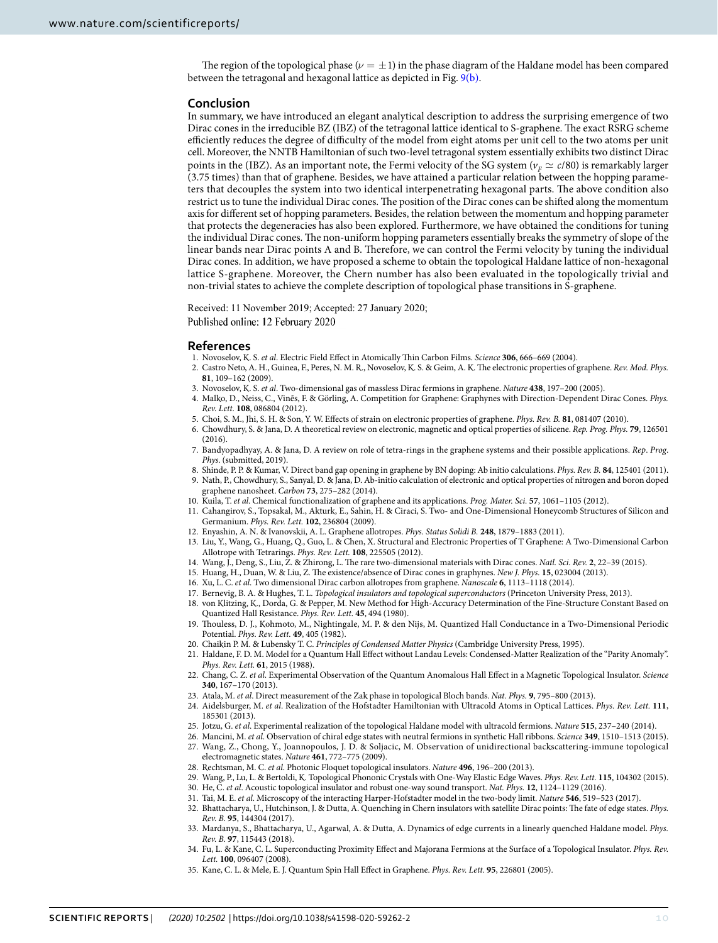The region of the topological phase  $(\nu = \pm 1)$  in the phase diagram of the Haldane model has been compared between the tetragonal and hexagonal lattice as depicted in Fig. [9\(b\)](#page-8-0).

#### **Conclusion**

In summary, we have introduced an elegant analytical description to address the surprising emergence of two Dirac cones in the irreducible BZ (IBZ) of the tetragonal lattice identical to S-graphene. The exact RSRG scheme efficiently reduces the degree of difficulty of the model from eight atoms per unit cell to the two atoms per unit cell. Moreover, the NNTB Hamiltonian of such two-level tetragonal system essentially exhibits two distinct Dirac points in the (IBZ). As an important note, the Fermi velocity of the SG system ( $v_F \simeq c/80$ ) is remarkably larger (3.75 times) than that of graphene. Besides, we have attained a particular relation between the hopping parameters that decouples the system into two identical interpenetrating hexagonal parts. The above condition also restrict us to tune the individual Dirac cones. The position of the Dirac cones can be shifted along the momentum axis for different set of hopping parameters. Besides, the relation between the momentum and hopping parameter that protects the degeneracies has also been explored. Furthermore, we have obtained the conditions for tuning the individual Dirac cones. The non-uniform hopping parameters essentially breaks the symmetry of slope of the linear bands near Dirac points A and B. Therefore, we can control the Fermi velocity by tuning the individual Dirac cones. In addition, we have proposed a scheme to obtain the topological Haldane lattice of non-hexagonal lattice S-graphene. Moreover, the Chern number has also been evaluated in the topologically trivial and non-trivial states to achieve the complete description of topological phase transitions in S-graphene.

Received: 11 November 2019; Accepted: 27 January 2020; Published online: 12 February 2020

#### **References**

- <span id="page-9-0"></span>1. Novoselov, K. S. et al. Electric Field Effect in Atomically Thin Carbon Films. Science **306**, 666–669 (2004).
- <span id="page-9-1"></span>2. Castro Neto, A. H., Guinea, F., Peres, N. M. R., Novoselov, K. S. & Geim, A. K. The electronic properties of graphene. Rev. Mod. Phys. **81**, 109–162 (2009).
- <span id="page-9-2"></span>3. Novoselov, K. S. et al. Two-dimensional gas of massless Dirac fermions in graphene. Nature **438**, 197–200 (2005).
- <span id="page-9-3"></span> 4. Malko, D., Neiss, C., Vinẽs, F. & Görling, A. Competition for Graphene: Graphynes with Direction-Dependent Dirac Cones. Phys. Rev. Lett. **108**, 086804 (2012).
- <span id="page-9-4"></span>5. Choi, S. M., Jhi, S. H. & Son, Y. W. Effects of strain on electronic properties of graphene. Phys. Rev. B. **81**, 081407 (2010).
- <span id="page-9-5"></span> 6. Chowdhury, S. & Jana, D. A theoretical review on electronic, magnetic and optical properties of silicene. Rep. Prog. Phys. **79**, 126501 (2016).
- <span id="page-9-6"></span> 7. Bandyopadhyay, A. & Jana, D. A review on role of tetra-rings in the graphene systems and their possible applications. Rep. Prog. Phys. (submitted, 2019).
- <span id="page-9-7"></span> 8. Shinde, P. P. & Kumar, V. Direct band gap opening in graphene by BN doping: Ab initio calculations. Phys. Rev. B. **84**, 125401 (2011). 9. Nath, P., Chowdhury, S., Sanyal, D. & Jana, D. Ab-initio calculation of electronic and optical properties of nitrogen and boron doped
- graphene nanosheet. Carbon **73**, 275–282 (2014).
- <span id="page-9-8"></span>10. Kuila, T. et al. Chemical functionalization of graphene and its applications. Prog. Mater. Sci. **57**, 1061–1105 (2012).
- <span id="page-9-9"></span> 11. Cahangirov, S., Topsakal, M., Akturk, E., Sahin, H. & Ciraci, S. Two- and One-Dimensional Honeycomb Structures of Silicon and Germanium. Phys. Rev. Lett. **102**, 236804 (2009).
- <span id="page-9-10"></span>12. Enyashin, A. N. & Ivanovskii, A. L. Graphene allotropes. Phys. Status Solidi B. **248**, 1879–1883 (2011).
- <span id="page-9-11"></span> 13. Liu, Y., Wang, G., Huang, Q., Guo, L. & Chen, X. Structural and Electronic Properties of T Graphene: A Two-Dimensional Carbon Allotrope with Tetrarings. Phys. Rev. Lett. **108**, 225505 (2012).
- <span id="page-9-12"></span>14. Wang, J., Deng, S., Liu, Z. & Zhirong, L. The rare two-dimensional materials with Dirac cones. Natl. Sci. Rev. **2**, 22–39 (2015).
- <span id="page-9-13"></span>15. Huang, H., Duan, W. & Liu, Z. The existence/absence of Dirac cones in graphynes. New J. Phys. **15**, 023004 (2013).
- <span id="page-9-14"></span>16. Xu, L. C. et al. Two dimensional Dirac carbon allotropes from graphene. Nanoscale **6**, 1113–1118 (2014).
- <span id="page-9-15"></span>17. Bernevig, B. A. & Hughes, T. L. Topological insulators and topological superconductors (Princeton University Press, 2013).
- <span id="page-9-16"></span> 18. von Klitzing, K., Dorda, G. & Pepper, M. New Method for High-Accuracy Determination of the Fine-Structure Constant Based on Quantized Hall Resistance. Phys. Rev. Lett. **45**, 494 (1980).
- <span id="page-9-17"></span> 19. Thouless, D. J., Kohmoto, M., Nightingale, M. P. & den Nijs, M. Quantized Hall Conductance in a Two-Dimensional Periodic Potential. Phys. Rev. Lett. **49**, 405 (1982).
- <span id="page-9-18"></span>20. Chaikin P. M. & Lubensky T. C. Principles of Condensed Matter Physics (Cambridge University Press, 1995).
- <span id="page-9-19"></span> 21. Haldane, F. D. M. Model for a Quantum Hall Effect without Landau Levels: Condensed-Matter Realization of the "Parity Anomaly". Phys. Rev. Lett. **61**, 2015 (1988).
- <span id="page-9-20"></span>22. Chang, C. Z. et al. Experimental Observation of the Quantum Anomalous Hall Effect in a Magnetic Topological Insulator. Science **340**, 167–170 (2013).
- <span id="page-9-21"></span>23. Atala, M. et al. Direct measurement of the Zak phase in topological Bloch bands. Nat. Phys. **9**, 795–800 (2013).
- 24. Aidelsburger, M. et al. Realization of the Hofstadter Hamiltonian with Ultracold Atoms in Optical Lattices. Phys. Rev. Lett. **111**, 185301 (2013).
- <span id="page-9-25"></span><span id="page-9-22"></span>25. Jotzu, G. et al. Experimental realization of the topological Haldane model with ultracold fermions. Nature **515**, 237–240 (2014).
- <span id="page-9-23"></span> 26. Mancini, M. et al. Observation of chiral edge states with neutral fermions in synthetic Hall ribbons. Science **349**, 1510–1513 (2015). 27. Wang, Z., Chong, Y., Joannopoulos, J. D. & Soljacic, M. Observation of unidirectional backscattering-immune topological electromagnetic states. Nature **461**, 772–775 (2009).
- 28. Rechtsman, M. C. et al. Photonic Floquet topological insulators. Nature **496**, 196–200 (2013).
- <span id="page-9-24"></span> 29. Wang, P., Lu, L. & Bertoldi, K. Topological Phononic Crystals with One-Way Elastic Edge Waves. Phys. Rev. Lett. **115**, 104302 (2015). 30. He, C. et al. Acoustic topological insulator and robust one-way sound transport. Nat. Phys. **12**, 1124–1129 (2016).
- <span id="page-9-26"></span>31. Tai, M. E. et al. Microscopy of the interacting Harper-Hofstadter model in the two-body limit. Nature **546**, 519–523 (2017).
- <span id="page-9-27"></span> 32. Bhattacharya, U., Hutchinson, J. & Dutta, A. Quenching in Chern insulators with satellite Dirac points: The fate of edge states. Phys. Rev. B. **95**, 144304 (2017).
- <span id="page-9-28"></span> 33. Mardanya, S., Bhattacharya, U., Agarwal, A. & Dutta, A. Dynamics of edge currents in a linearly quenched Haldane model. Phys. Rev. B. **97**, 115443 (2018).
- <span id="page-9-29"></span>34. Fu, L. & Kane, C. L. Superconducting Proximity Effect and Majorana Fermions at the Surface of a Topological Insulator. Phys. Rev. Lett. **100**, 096407 (2008).
- <span id="page-9-30"></span>35. Kane, C. L. & Mele, E. J. Quantum Spin Hall Effect in Graphene. Phys. Rev. Lett. **95**, 226801 (2005).